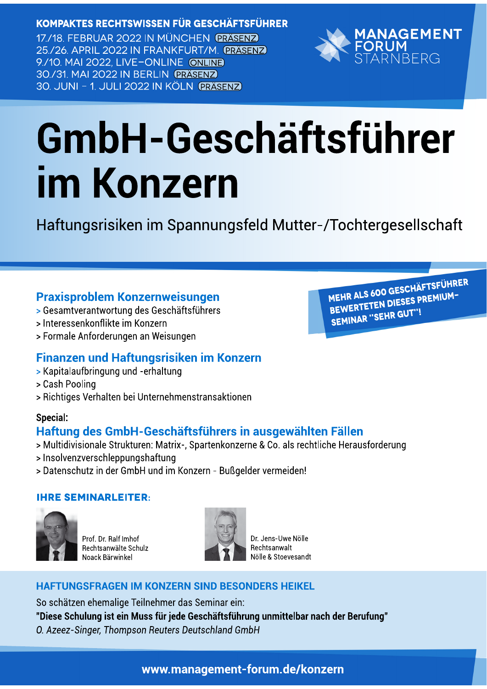**KOMPAKTES RECHTSWISSEN FÜR GESCHÄFTSFÜHRER** 17./18. FEBRUAR 2022 IN MÜNCHEN PRÄSENZ 25./26. APRIL 2022 IN FRANKFURT/M. PRÄSENZ 9./10. MAI 2022, LIVE-ONLINE ONLINE 30./31. MAI 2022 IN BERLIN PRÄSENZ 30. JUNI - 1. JULI 2022 IN KÖLN PRÄSENZ



# **GmbH-Geschäftsführer** im Konzern

Haftungsrisiken im Spannungsfeld Mutter-/Tochtergesellschaft

## **Praxisproblem Konzernweisungen**

- > Gesamtverantwortung des Geschäftsführers
- > Interessenkonflikte im Konzern
- > Formale Anforderungen an Weisungen

## **Finanzen und Haftungsrisiken im Konzern**

- > Kapitalaufbringung und -erhaltung
- > Cash Pooling
- > Richtiges Verhalten bei Unternehmenstransaktionen

#### Special:

## Haftung des GmbH-Geschäftsführers in ausgewählten Fällen

- > Multidivisionale Strukturen: Matrix-, Spartenkonzerne & Co. als rechtliche Herausforderung
- > Insolvenzverschleppungshaftung
- > Datenschutz in der GmbH und im Konzern Bußgelder vermeiden!

#### **IHRE SEMINARLEITER:**



Prof. Dr. Ralf Imhof Rechtsanwälte Schulz Noack Bärwinkel



Dr. Jens-Uwe Nölle Rechtsanwalt Nölle & Stoevesandt

## HAFTUNGSFRAGEN IM KONZERN SIND BESONDERS HEIKEL

So schätzen ehemalige Teilnehmer das Seminar ein: "Diese Schulung ist ein Muss für jede Geschäftsführung unmittelbar nach der Berufung" O. Azeez-Singer, Thompson Reuters Deutschland GmbH

MEHR ALS 600 GESCHÄFTSFÜHRER BEWERTETEN DIESES PREMIUM-SEMINAR "SEHR GUT"!

## www.management-forum.de/konzern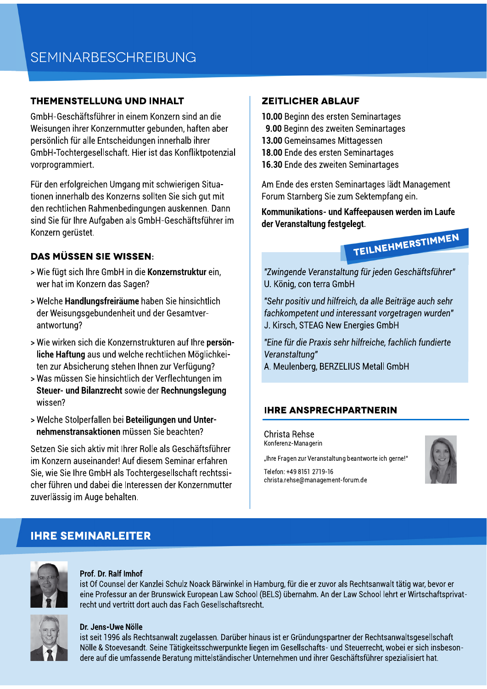#### **THEMENSTELLUNG UND INHALT**

GmbH-Geschäftsführer in einem Konzern sind an die Weisungen ihrer Konzernmutter gebunden, haften aber persönlich für alle Entscheidungen innerhalb ihrer GmbH-Tochtergesellschaft. Hier ist das Konfliktpotenzial vorprogrammiert.

Für den erfolgreichen Umgang mit schwierigen Situationen innerhalb des Konzerns sollten Sie sich gut mit den rechtlichen Rahmenbedingungen auskennen. Dann sind Sie für Ihre Aufgaben als GmbH-Geschäftsführer im Konzern gerüstet.

#### DAS MÜSSEN SIE WISSEN:

- > Wie fügt sich Ihre GmbH in die Konzernstruktur ein, wer hat im Konzern das Sagen?
- > Welche Handlungsfreiräume haben Sie hinsichtlich der Weisungsgebundenheit und der Gesamtverantwortung?
- > Wie wirken sich die Konzernstrukturen auf Ihre persönliche Haftung aus und welche rechtlichen Möglichkeiten zur Absicherung stehen Ihnen zur Verfügung?
- > Was müssen Sie hinsichtlich der Verflechtungen im Steuer- und Bilanzrecht sowie der Rechnungslegung wissen?
- > Welche Stolperfallen bei Beteiligungen und Unternehmenstransaktionen müssen Sie beachten?

Setzen Sie sich aktiv mit Ihrer Rolle als Geschäftsführer im Konzern auseinander! Auf diesem Seminar erfahren Sie, wie Sie Ihre GmbH als Tochtergesellschaft rechtssicher führen und dabei die Interessen der Konzernmutter zuverlässig im Auge behalten.

#### **ZEITLICHER ABLAUF**

10.00 Beginn des ersten Seminartages 9.00 Beginn des zweiten Seminartages 13.00 Gemeinsames Mittagessen 18.00 Ende des ersten Seminartages 16.30 Ende des zweiten Seminartages

Am Ende des ersten Seminartages lädt Management Forum Starnberg Sie zum Sektempfang ein.

Kommunikations- und Kaffeepausen werden im Laufe der Veranstaltung festgelegt.

## TEILNEHMERSTIMMEN

"Zwingende Veranstaltung für jeden Geschäftsführer" U. König, con terra GmbH

"Sehr positiv und hilfreich, da alle Beiträge auch sehr fachkompetent und interessant vorgetragen wurden" J. Kirsch, STEAG New Energies GmbH

"Eine für die Praxis sehr hilfreiche, fachlich fundierte Veranstaltung"

A. Meulenberg, BERZELIUS Metall GmbH

#### **IHRE ANSPRECHPARTNERIN**

**Christa Rehse** Konferenz-Managerin

"Ihre Fragen zur Veranstaltung beantworte ich gerne!"

Telefon: +49 8151 2719-16 christa.rehse@management-forum.de



## **IHRE SEMINARLEITER**



#### Prof. Dr. Ralf Imhof

ist Of Counsel der Kanzlei Schulz Noack Bärwinkel in Hamburg, für die er zuvor als Rechtsanwalt tätig war, bevor er eine Professur an der Brunswick European Law School (BELS) übernahm. An der Law School lehrt er Wirtschaftsprivatrecht und vertritt dort auch das Fach Gesellschaftsrecht.



#### Dr. Jens-Uwe Nölle

ist seit 1996 als Rechtsanwalt zugelassen. Darüber hinaus ist er Gründungspartner der Rechtsanwaltsgesellschaft Nölle & Stoevesandt. Seine Tätigkeitsschwerpunkte liegen im Gesellschafts- und Steuerrecht, wobei er sich insbesondere auf die umfassende Beratung mittelständischer Unternehmen und ihrer Geschäftsführer spezialisiert hat.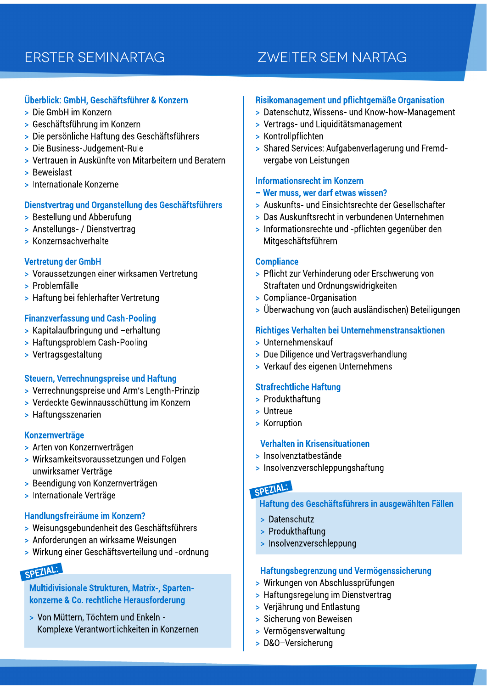## **ERSTER SEMINARTAG**

## **ZWEITER SEMINARTAG**

#### Überblick: GmbH, Geschäftsführer & Konzern

- > Die GmbH im Konzern
- > Geschäftsführung im Konzern
- > Die persönliche Haftung des Geschäftsführers
- > Die Business-Judgement-Rule
- > Vertrauen in Auskünfte von Mitarbeitern und Beratern
- > Beweislast
- > Internationale Konzerne

#### Dienstvertrag und Organstellung des Geschäftsführers

- > Bestellung und Abberufung
- > Anstellungs- / Dienstvertrag
- > Konzernsachverhalte

#### **Vertretung der GmbH**

- > Voraussetzungen einer wirksamen Vertretung
- > Problemfälle
- > Haftung bei fehlerhafter Vertretung

#### **Finanzverfassung und Cash-Pooling**

- > Kapitalaufbringung und -erhaltung
- > Haftungsproblem Cash-Pooling
- > Vertragsgestaltung

#### **Steuern, Verrechnungspreise und Haftung**

- > Verrechnungspreise und Arm's Length-Prinzip
- > Verdeckte Gewinnausschüttung im Konzern
- > Haftungsszenarien

#### **Konzernverträge**

- > Arten von Konzernverträgen
- > Wirksamkeitsvoraussetzungen und Folgen unwirksamer Verträge
- > Beendigung von Konzernverträgen
- > Internationale Verträge

#### Handlungsfreiräume im Konzern?

- > Weisungsgebundenheit des Geschäftsführers
- > Anforderungen an wirksame Weisungen
- > Wirkung einer Geschäftsverteilung und -ordnung

## SPEZIAL:

Multidivisionale Strukturen, Matrix-, Spartenkonzerne & Co. rechtliche Herausforderung

> Von Müttern, Töchtern und Enkeln -Komplexe Verantwortlichkeiten in Konzernen

#### Risikomanagement und pflichtgemäße Organisation

- > Datenschutz, Wissens- und Know-how-Management
- > Vertrags- und Liguiditätsmanagement
- > Kontrollpflichten
- > Shared Services: Aufgabenverlagerung und Fremdvergabe von Leistungen

#### **Informationsrecht im Konzern**

- Wer muss, wer darf etwas wissen?
- > Auskunfts- und Einsichtsrechte der Gesellschafter
- > Das Auskunftsrecht in verbundenen Unternehmen
- > Informationsrechte und -pflichten gegenüber den Mitgeschäftsführern

#### **Compliance**

- > Pflicht zur Verhinderung oder Erschwerung von Straftaten und Ordnungswidrigkeiten
- > Compliance-Organisation
- > Überwachung von (auch ausländischen) Beteiligungen

#### Richtiges Verhalten bei Unternehmenstransaktionen

- > Unternehmenskauf
- > Due Diligence und Vertragsverhandlung
- > Verkauf des eigenen Unternehmens

#### **Strafrechtliche Haftung**

- > Produkthaftung
- > Untreue
- > Korruption

#### **Verhalten in Krisensituationen**

- > Insolvenztatbestände
- > Insolvenzverschleppungshaftung

## SPEZIAL:

#### Haftung des Geschäftsführers in ausgewählten Fällen

- > Datenschutz
- > Produkthaftung
- > Insolvenzverschleppung

#### Haftungsbegrenzung und Vermögenssicherung

- > Wirkungen von Abschlussprüfungen
- > Haftungsregelung im Dienstvertrag
- > Verjährung und Entlastung
- > Sicherung von Beweisen
- > Vermögensverwaltung
- > D&O-Versicherung